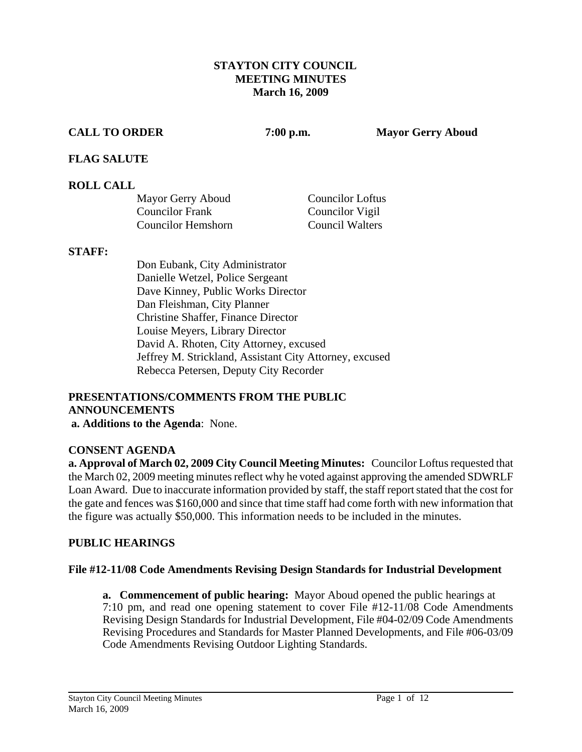#### **STAYTON CITY COUNCIL MEETING MINUTES March 16, 2009**

**CALL TO ORDER 7:00 p.m. Mayor Gerry Aboud** 

### **FLAG SALUTE**

### **ROLL CALL**

| Mayor Gerry Aboud         | <b>Councilor Loftus</b> |
|---------------------------|-------------------------|
| <b>Councilor Frank</b>    | Councilor Vigil         |
| <b>Councilor Hemshorn</b> | <b>Council Walters</b>  |

#### **STAFF:**

Don Eubank, City Administrator Danielle Wetzel, Police Sergeant Dave Kinney, Public Works Director Dan Fleishman, City Planner Christine Shaffer, Finance Director Louise Meyers, Library Director David A. Rhoten, City Attorney, excused Jeffrey M. Strickland, Assistant City Attorney, excused Rebecca Petersen, Deputy City Recorder

# **PRESENTATIONS/COMMENTS FROM THE PUBLIC ANNOUNCEMENTS**

 **a. Additions to the Agenda**: None.

#### **CONSENT AGENDA**

**a. Approval of March 02, 2009 City Council Meeting Minutes:** Councilor Loftus requested that the March 02, 2009 meeting minutes reflect why he voted against approving the amended SDWRLF Loan Award. Due to inaccurate information provided by staff, the staff report stated that the cost for the gate and fences was \$160,000 and since that time staff had come forth with new information that the figure was actually \$50,000. This information needs to be included in the minutes.

#### **PUBLIC HEARINGS**

#### **File #12-11/08 Code Amendments Revising Design Standards for Industrial Development**

**a. Commencement of public hearing:** Mayor Aboud opened the public hearings at 7:10 pm, and read one opening statement to cover File #12-11/08 Code Amendments Revising Design Standards for Industrial Development, File #04-02/09 Code Amendments Revising Procedures and Standards for Master Planned Developments, and File #06-03/09 Code Amendments Revising Outdoor Lighting Standards.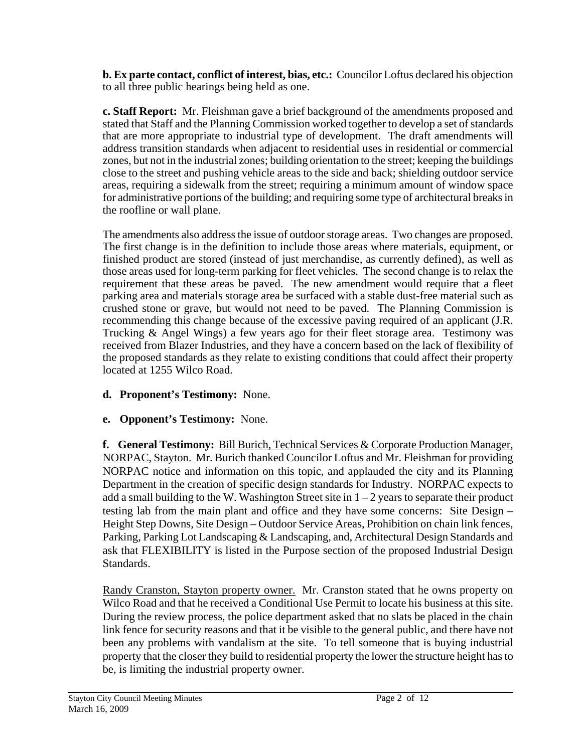**b. Ex parte contact, conflict of interest, bias, etc.:** Councilor Loftus declared his objection to all three public hearings being held as one.

**c. Staff Report:** Mr. Fleishman gave a brief background of the amendments proposed and stated that Staff and the Planning Commission worked together to develop a set of standards that are more appropriate to industrial type of development. The draft amendments will address transition standards when adjacent to residential uses in residential or commercial zones, but not in the industrial zones; building orientation to the street; keeping the buildings close to the street and pushing vehicle areas to the side and back; shielding outdoor service areas, requiring a sidewalk from the street; requiring a minimum amount of window space for administrative portions of the building; and requiring some type of architectural breaks in the roofline or wall plane.

The amendments also address the issue of outdoor storage areas. Two changes are proposed. The first change is in the definition to include those areas where materials, equipment, or finished product are stored (instead of just merchandise, as currently defined), as well as those areas used for long-term parking for fleet vehicles. The second change is to relax the requirement that these areas be paved. The new amendment would require that a fleet parking area and materials storage area be surfaced with a stable dust-free material such as crushed stone or grave, but would not need to be paved. The Planning Commission is recommending this change because of the excessive paving required of an applicant (J.R. Trucking & Angel Wings) a few years ago for their fleet storage area. Testimony was received from Blazer Industries, and they have a concern based on the lack of flexibility of the proposed standards as they relate to existing conditions that could affect their property located at 1255 Wilco Road.

# **d. Proponent's Testimony:** None.

# **e. Opponent's Testimony:** None.

**f. General Testimony:** Bill Burich, Technical Services & Corporate Production Manager, NORPAC, Stayton. Mr. Burich thanked Councilor Loftus and Mr. Fleishman for providing NORPAC notice and information on this topic, and applauded the city and its Planning Department in the creation of specific design standards for Industry. NORPAC expects to add a small building to the W. Washington Street site in  $1 - 2$  years to separate their product testing lab from the main plant and office and they have some concerns: Site Design – Height Step Downs, Site Design – Outdoor Service Areas, Prohibition on chain link fences, Parking, Parking Lot Landscaping & Landscaping, and, Architectural Design Standards and ask that FLEXIBILITY is listed in the Purpose section of the proposed Industrial Design Standards.

Randy Cranston, Stayton property owner. Mr. Cranston stated that he owns property on Wilco Road and that he received a Conditional Use Permit to locate his business at this site. During the review process, the police department asked that no slats be placed in the chain link fence for security reasons and that it be visible to the general public, and there have not been any problems with vandalism at the site. To tell someone that is buying industrial property that the closer they build to residential property the lower the structure height has to be, is limiting the industrial property owner.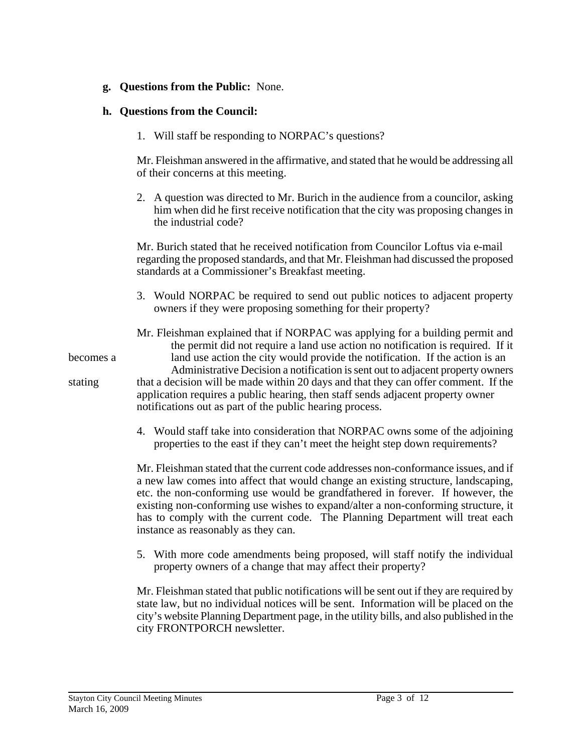#### **g. Questions from the Public:** None.

#### **h. Questions from the Council:**

1. Will staff be responding to NORPAC's questions?

 Mr. Fleishman answered in the affirmative, and stated that he would be addressing all of their concerns at this meeting.

2. A question was directed to Mr. Burich in the audience from a councilor, asking him when did he first receive notification that the city was proposing changes in the industrial code?

 Mr. Burich stated that he received notification from Councilor Loftus via e-mail regarding the proposed standards, and that Mr. Fleishman had discussed the proposed standards at a Commissioner's Breakfast meeting.

3. Would NORPAC be required to send out public notices to adjacent property owners if they were proposing something for their property?

 Mr. Fleishman explained that if NORPAC was applying for a building permit and the permit did not require a land use action no notification is required. If it becomes a land use action the city would provide the notification. If the action is an Administrative Decision a notification is sent out to adjacent property owners stating that a decision will be made within 20 days and that they can offer comment. If the application requires a public hearing, then staff sends adjacent property owner notifications out as part of the public hearing process.

> 4. Would staff take into consideration that NORPAC owns some of the adjoining properties to the east if they can't meet the height step down requirements?

> Mr. Fleishman stated that the current code addresses non-conformance issues, and if a new law comes into affect that would change an existing structure, landscaping, etc. the non-conforming use would be grandfathered in forever. If however, the existing non-conforming use wishes to expand/alter a non-conforming structure, it has to comply with the current code. The Planning Department will treat each instance as reasonably as they can.

> 5. With more code amendments being proposed, will staff notify the individual property owners of a change that may affect their property?

> Mr. Fleishman stated that public notifications will be sent out if they are required by state law, but no individual notices will be sent. Information will be placed on the city's website Planning Department page, in the utility bills, and also published in the city FRONTPORCH newsletter.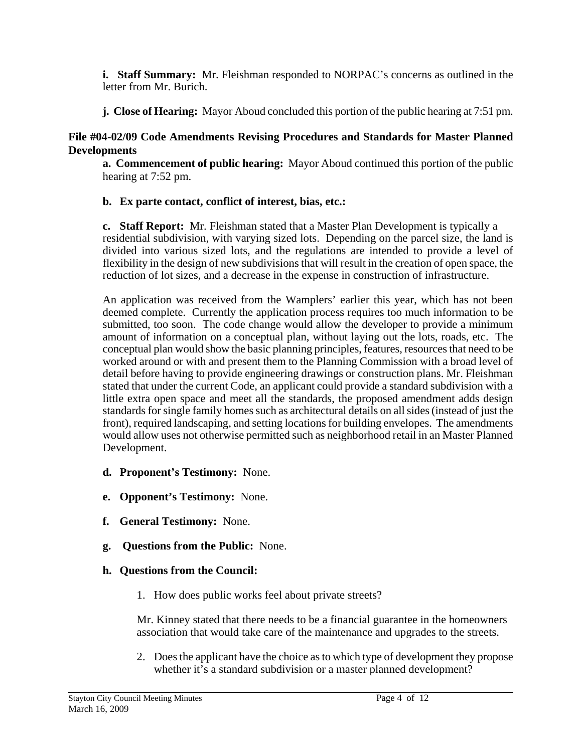**i. Staff Summary:** Mr. Fleishman responded to NORPAC's concerns as outlined in the letter from Mr. Burich.

**j. Close of Hearing:** Mayor Aboud concluded this portion of the public hearing at 7:51 pm.

## **File #04-02/09 Code Amendments Revising Procedures and Standards for Master Planned Developments**

 **a. Commencement of public hearing:** Mayor Aboud continued this portion of the public hearing at 7:52 pm.

# **b. Ex parte contact, conflict of interest, bias, etc.:**

**c. Staff Report:** Mr. Fleishman stated that a Master Plan Development is typically a residential subdivision, with varying sized lots. Depending on the parcel size, the land is divided into various sized lots, and the regulations are intended to provide a level of flexibility in the design of new subdivisions that will result in the creation of open space, the reduction of lot sizes, and a decrease in the expense in construction of infrastructure.

An application was received from the Wamplers' earlier this year, which has not been deemed complete. Currently the application process requires too much information to be submitted, too soon. The code change would allow the developer to provide a minimum amount of information on a conceptual plan, without laying out the lots, roads, etc. The conceptual plan would show the basic planning principles, features, resources that need to be worked around or with and present them to the Planning Commission with a broad level of detail before having to provide engineering drawings or construction plans. Mr. Fleishman stated that under the current Code, an applicant could provide a standard subdivision with a little extra open space and meet all the standards, the proposed amendment adds design standards for single family homes such as architectural details on all sides (instead of just the front), required landscaping, and setting locations for building envelopes. The amendments would allow uses not otherwise permitted such as neighborhood retail in an Master Planned Development.

- **d. Proponent's Testimony:** None.
- **e. Opponent's Testimony:** None.
- **f. General Testimony:** None.
- **g. Questions from the Public:** None.

## **h. Questions from the Council:**

1. How does public works feel about private streets?

 Mr. Kinney stated that there needs to be a financial guarantee in the homeowners association that would take care of the maintenance and upgrades to the streets.

2. Does the applicant have the choice as to which type of development they propose whether it's a standard subdivision or a master planned development?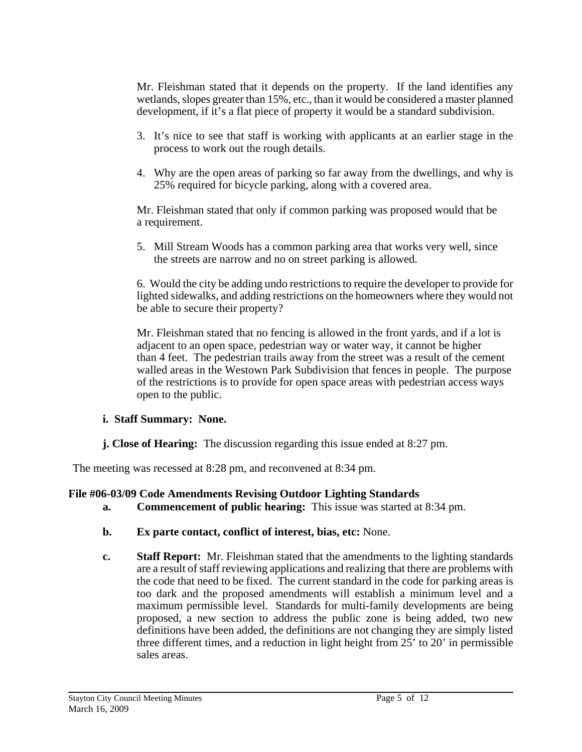Mr. Fleishman stated that it depends on the property. If the land identifies any wetlands, slopes greater than 15%, etc., than it would be considered a master planned development, if it's a flat piece of property it would be a standard subdivision.

- 3. It's nice to see that staff is working with applicants at an earlier stage in the process to work out the rough details.
- 4. Why are the open areas of parking so far away from the dwellings, and why is 25% required for bicycle parking, along with a covered area.

 Mr. Fleishman stated that only if common parking was proposed would that be a requirement.

5. Mill Stream Woods has a common parking area that works very well, since the streets are narrow and no on street parking is allowed.

 6. Would the city be adding undo restrictions to require the developer to provide for lighted sidewalks, and adding restrictions on the homeowners where they would not be able to secure their property?

 Mr. Fleishman stated that no fencing is allowed in the front yards, and if a lot is adjacent to an open space, pedestrian way or water way, it cannot be higher than 4 feet. The pedestrian trails away from the street was a result of the cement walled areas in the Westown Park Subdivision that fences in people. The purpose of the restrictions is to provide for open space areas with pedestrian access ways open to the public.

#### **i. Staff Summary: None.**

**j. Close of Hearing:** The discussion regarding this issue ended at 8:27 pm.

The meeting was recessed at 8:28 pm, and reconvened at 8:34 pm.

## **File #06-03/09 Code Amendments Revising Outdoor Lighting Standards**

- **a. Commencement of public hearing:** This issue was started at 8:34 pm.
- **b. Ex parte contact, conflict of interest, bias, etc:** None.
- **c. Staff Report:** Mr. Fleishman stated that the amendments to the lighting standards are a result of staff reviewing applications and realizing that there are problems with the code that need to be fixed. The current standard in the code for parking areas is too dark and the proposed amendments will establish a minimum level and a maximum permissible level. Standards for multi-family developments are being proposed, a new section to address the public zone is being added, two new definitions have been added, the definitions are not changing they are simply listed three different times, and a reduction in light height from 25' to 20' in permissible sales areas.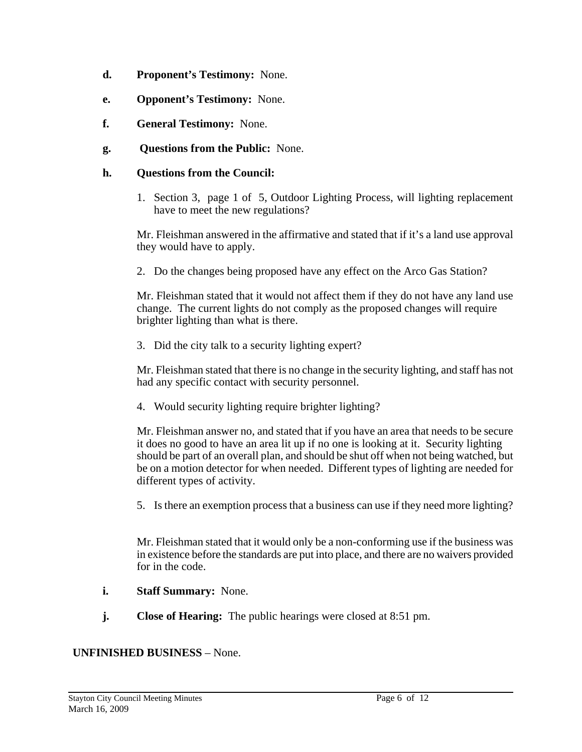- **d. Proponent's Testimony:** None.
- **e. Opponent's Testimony:** None.
- **f. General Testimony:** None.
- **g. Questions from the Public:** None.

#### **h. Questions from the Council:**

1. Section 3, page 1 of 5, Outdoor Lighting Process, will lighting replacement have to meet the new regulations?

 Mr. Fleishman answered in the affirmative and stated that if it's a land use approval they would have to apply.

2. Do the changes being proposed have any effect on the Arco Gas Station?

 Mr. Fleishman stated that it would not affect them if they do not have any land use change. The current lights do not comply as the proposed changes will require brighter lighting than what is there.

3. Did the city talk to a security lighting expert?

 Mr. Fleishman stated that there is no change in the security lighting, and staff has not had any specific contact with security personnel.

4. Would security lighting require brighter lighting?

 Mr. Fleishman answer no, and stated that if you have an area that needs to be secure it does no good to have an area lit up if no one is looking at it. Security lighting should be part of an overall plan, and should be shut off when not being watched, but be on a motion detector for when needed. Different types of lighting are needed for different types of activity.

5. Is there an exemption process that a business can use if they need more lighting?

 Mr. Fleishman stated that it would only be a non-conforming use if the business was in existence before the standards are put into place, and there are no waivers provided for in the code.

- **i. Staff Summary:** None.
- **j. Close of Hearing:** The public hearings were closed at 8:51 pm.

#### **UNFINISHED BUSINESS** – None.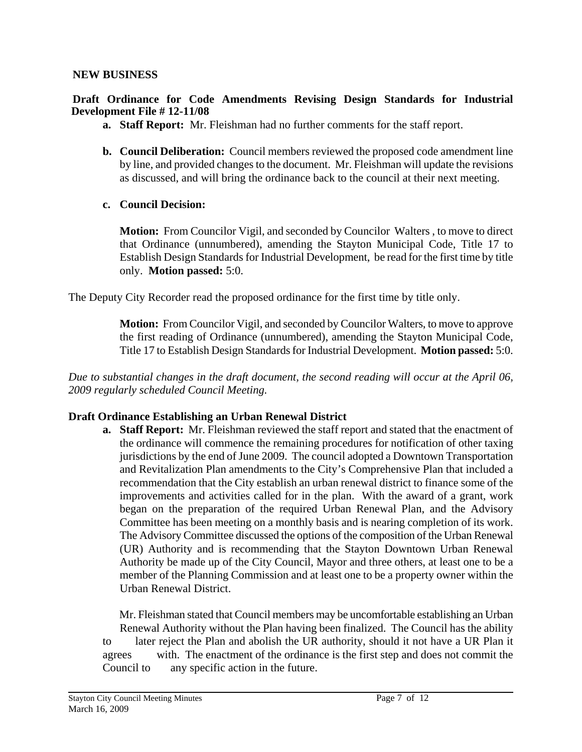#### **NEW BUSINESS**

#### **Draft Ordinance for Code Amendments Revising Design Standards for Industrial Development File # 12-11/08**

- **a. Staff Report:** Mr. Fleishman had no further comments for the staff report.
- **b. Council Deliberation:** Council members reviewed the proposed code amendment line by line, and provided changes to the document. Mr. Fleishman will update the revisions as discussed, and will bring the ordinance back to the council at their next meeting.
- **c. Council Decision:**

**Motion:** From Councilor Vigil, and seconded by Councilor Walters , to move to direct that Ordinance (unnumbered), amending the Stayton Municipal Code, Title 17 to Establish Design Standards for Industrial Development, be read for the first time by title only. **Motion passed:** 5:0.

The Deputy City Recorder read the proposed ordinance for the first time by title only.

**Motion:** From Councilor Vigil, and seconded by Councilor Walters, to move to approve the first reading of Ordinance (unnumbered), amending the Stayton Municipal Code, Title 17 to Establish Design Standards for Industrial Development. **Motion passed:** 5:0.

*Due to substantial changes in the draft document, the second reading will occur at the April 06, 2009 regularly scheduled Council Meeting.* 

#### **Draft Ordinance Establishing an Urban Renewal District**

**a. Staff Report:** Mr. Fleishman reviewed the staff report and stated that the enactment of the ordinance will commence the remaining procedures for notification of other taxing jurisdictions by the end of June 2009. The council adopted a Downtown Transportation and Revitalization Plan amendments to the City's Comprehensive Plan that included a recommendation that the City establish an urban renewal district to finance some of the improvements and activities called for in the plan. With the award of a grant, work began on the preparation of the required Urban Renewal Plan, and the Advisory Committee has been meeting on a monthly basis and is nearing completion of its work. The Advisory Committee discussed the options of the composition of the Urban Renewal (UR) Authority and is recommending that the Stayton Downtown Urban Renewal Authority be made up of the City Council, Mayor and three others, at least one to be a member of the Planning Commission and at least one to be a property owner within the Urban Renewal District.

Mr. Fleishman stated that Council members may be uncomfortable establishing an Urban Renewal Authority without the Plan having been finalized. The Council has the ability to later reject the Plan and abolish the UR authority, should it not have a UR Plan it agrees with. The enactment of the ordinance is the first step and does not commit the Council to any specific action in the future.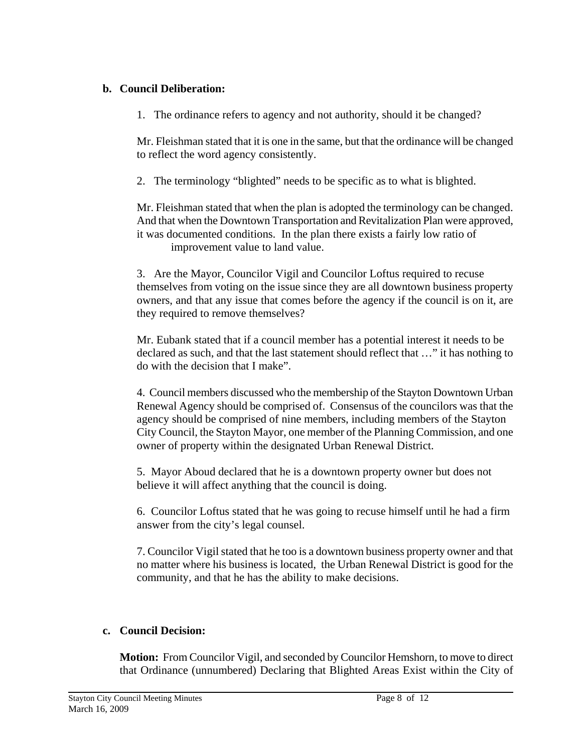## **b. Council Deliberation:**

1. The ordinance refers to agency and not authority, should it be changed?

 Mr. Fleishman stated that it is one in the same, but that the ordinance will be changed to reflect the word agency consistently.

2. The terminology "blighted" needs to be specific as to what is blighted.

 Mr. Fleishman stated that when the plan is adopted the terminology can be changed. And that when the Downtown Transportation and Revitalization Plan were approved, it was documented conditions. In the plan there exists a fairly low ratio of improvement value to land value.

3. Are the Mayor, Councilor Vigil and Councilor Loftus required to recuse themselves from voting on the issue since they are all downtown business property owners, and that any issue that comes before the agency if the council is on it, are they required to remove themselves?

 Mr. Eubank stated that if a council member has a potential interest it needs to be declared as such, and that the last statement should reflect that …" it has nothing to do with the decision that I make".

 4. Council members discussed who the membership of the Stayton Downtown Urban Renewal Agency should be comprised of. Consensus of the councilors was that the agency should be comprised of nine members, including members of the Stayton City Council, the Stayton Mayor, one member of the Planning Commission, and one owner of property within the designated Urban Renewal District.

5. Mayor Aboud declared that he is a downtown property owner but does not believe it will affect anything that the council is doing.

 6. Councilor Loftus stated that he was going to recuse himself until he had a firm answer from the city's legal counsel.

7. Councilor Vigil stated that he too is a downtown business property owner and that no matter where his business is located, the Urban Renewal District is good for the community, and that he has the ability to make decisions.

# **c. Council Decision:**

**Motion:** From Councilor Vigil, and seconded by Councilor Hemshorn, to move to direct that Ordinance (unnumbered) Declaring that Blighted Areas Exist within the City of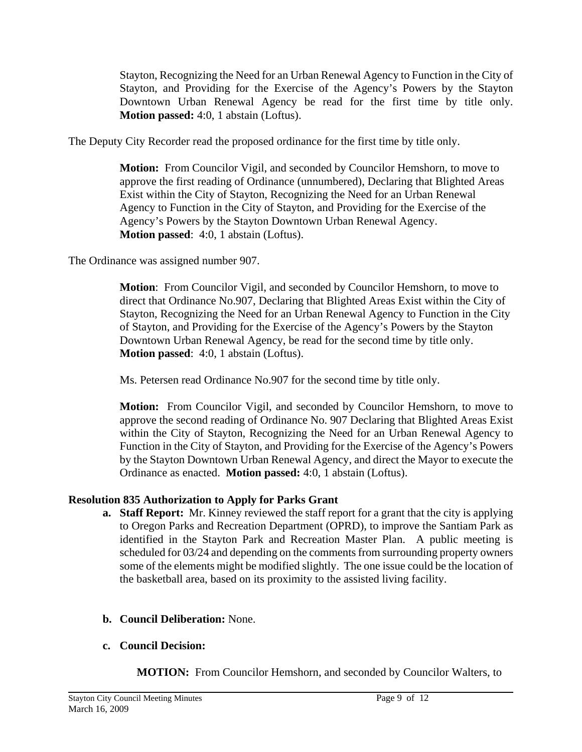Stayton, Recognizing the Need for an Urban Renewal Agency to Function in the City of Stayton, and Providing for the Exercise of the Agency's Powers by the Stayton Downtown Urban Renewal Agency be read for the first time by title only. **Motion passed:** 4:0, 1 abstain (Loftus).

The Deputy City Recorder read the proposed ordinance for the first time by title only.

**Motion:** From Councilor Vigil, and seconded by Councilor Hemshorn, to move to approve the first reading of Ordinance (unnumbered), Declaring that Blighted Areas Exist within the City of Stayton, Recognizing the Need for an Urban Renewal Agency to Function in the City of Stayton, and Providing for the Exercise of the Agency's Powers by the Stayton Downtown Urban Renewal Agency. **Motion passed**: 4:0, 1 abstain (Loftus).

The Ordinance was assigned number 907.

**Motion**: From Councilor Vigil, and seconded by Councilor Hemshorn, to move to direct that Ordinance No.907, Declaring that Blighted Areas Exist within the City of Stayton, Recognizing the Need for an Urban Renewal Agency to Function in the City of Stayton, and Providing for the Exercise of the Agency's Powers by the Stayton Downtown Urban Renewal Agency, be read for the second time by title only. **Motion passed**: 4:0, 1 abstain (Loftus).

Ms. Petersen read Ordinance No.907 for the second time by title only.

**Motion:** From Councilor Vigil, and seconded by Councilor Hemshorn, to move to approve the second reading of Ordinance No. 907 Declaring that Blighted Areas Exist within the City of Stayton, Recognizing the Need for an Urban Renewal Agency to Function in the City of Stayton, and Providing for the Exercise of the Agency's Powers by the Stayton Downtown Urban Renewal Agency, and direct the Mayor to execute the Ordinance as enacted. **Motion passed:** 4:0, 1 abstain (Loftus).

# **Resolution 835 Authorization to Apply for Parks Grant**

- **a. Staff Report:** Mr. Kinney reviewed the staff report for a grant that the city is applying to Oregon Parks and Recreation Department (OPRD), to improve the Santiam Park as identified in the Stayton Park and Recreation Master Plan. A public meeting is scheduled for 03/24 and depending on the comments from surrounding property owners some of the elements might be modified slightly. The one issue could be the location of the basketball area, based on its proximity to the assisted living facility.
- **b. Council Deliberation:** None.

# **c. Council Decision:**

 **MOTION:** From Councilor Hemshorn, and seconded by Councilor Walters, to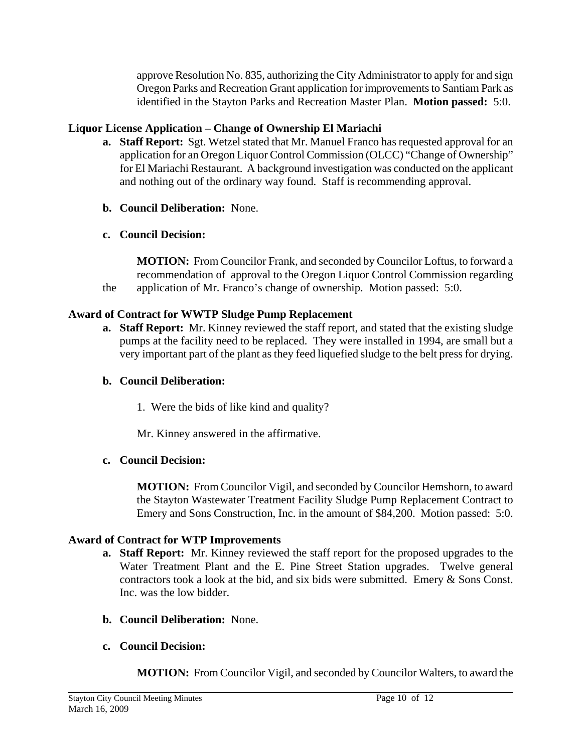approve Resolution No. 835, authorizing the City Administrator to apply for and sign Oregon Parks and Recreation Grant application for improvements to Santiam Park as identified in the Stayton Parks and Recreation Master Plan. **Motion passed:** 5:0.

# **Liquor License Application – Change of Ownership El Mariachi**

- **a. Staff Report:** Sgt. Wetzel stated that Mr. Manuel Franco has requested approval for an application for an Oregon Liquor Control Commission (OLCC) "Change of Ownership" for El Mariachi Restaurant. A background investigation was conducted on the applicant and nothing out of the ordinary way found. Staff is recommending approval.
- **b. Council Deliberation:** None.
- **c. Council Decision:**

 **MOTION:** From Councilor Frank, and seconded by Councilor Loftus, to forward a recommendation of approval to the Oregon Liquor Control Commission regarding the application of Mr. Franco's change of ownership. Motion passed: 5:0.

### **Award of Contract for WWTP Sludge Pump Replacement**

**a. Staff Report:** Mr. Kinney reviewed the staff report, and stated that the existing sludge pumps at the facility need to be replaced. They were installed in 1994, are small but a very important part of the plant as they feed liquefied sludge to the belt press for drying.

#### **b. Council Deliberation:**

1. Were the bids of like kind and quality?

Mr. Kinney answered in the affirmative.

#### **c. Council Decision:**

 **MOTION:** From Councilor Vigil, and seconded by Councilor Hemshorn, to award the Stayton Wastewater Treatment Facility Sludge Pump Replacement Contract to Emery and Sons Construction, Inc. in the amount of \$84,200. Motion passed: 5:0.

## **Award of Contract for WTP Improvements**

- **a. Staff Report:** Mr. Kinney reviewed the staff report for the proposed upgrades to the Water Treatment Plant and the E. Pine Street Station upgrades. Twelve general contractors took a look at the bid, and six bids were submitted. Emery & Sons Const. Inc. was the low bidder.
- **b. Council Deliberation:** None.
- **c. Council Decision:**

 **MOTION:** From Councilor Vigil, and seconded by Councilor Walters, to award the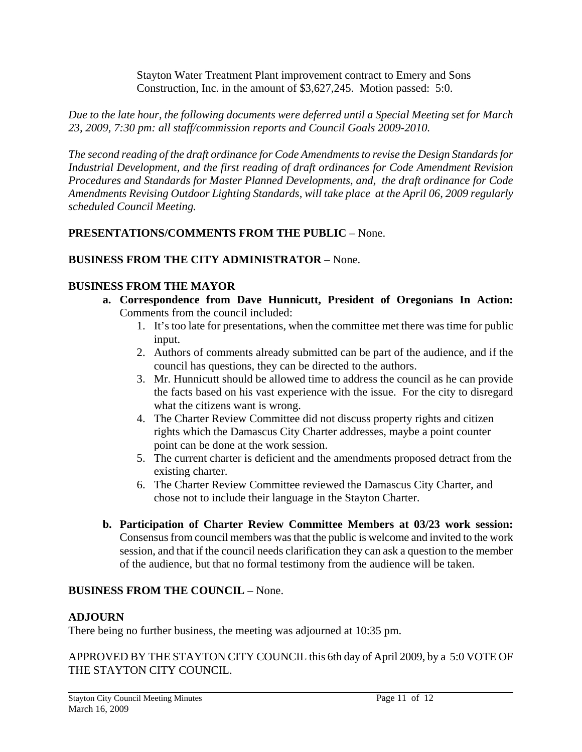Stayton Water Treatment Plant improvement contract to Emery and Sons Construction, Inc. in the amount of \$3,627,245. Motion passed: 5:0.

*Due to the late hour, the following documents were deferred until a Special Meeting set for March 23, 2009, 7:30 pm: all staff/commission reports and Council Goals 2009-2010.* 

*The second reading of the draft ordinance for Code Amendments to revise the Design Standards for Industrial Development, and the first reading of draft ordinances for Code Amendment Revision Procedures and Standards for Master Planned Developments, and, the draft ordinance for Code Amendments Revising Outdoor Lighting Standards, will take place at the April 06, 2009 regularly scheduled Council Meeting.* 

# **PRESENTATIONS/COMMENTS FROM THE PUBLIC** – None.

# **BUSINESS FROM THE CITY ADMINISTRATOR** – None.

## **BUSINESS FROM THE MAYOR**

- **a. Correspondence from Dave Hunnicutt, President of Oregonians In Action:**  Comments from the council included:
	- 1. It's too late for presentations, when the committee met there was time for public input.
	- 2. Authors of comments already submitted can be part of the audience, and if the council has questions, they can be directed to the authors.
	- 3. Mr. Hunnicutt should be allowed time to address the council as he can provide the facts based on his vast experience with the issue. For the city to disregard what the citizens want is wrong.
	- 4. The Charter Review Committee did not discuss property rights and citizen rights which the Damascus City Charter addresses, maybe a point counter point can be done at the work session.
	- 5. The current charter is deficient and the amendments proposed detract from the existing charter.
	- 6. The Charter Review Committee reviewed the Damascus City Charter, and chose not to include their language in the Stayton Charter.
- **b. Participation of Charter Review Committee Members at 03/23 work session:**  Consensus from council members was that the public is welcome and invited to the work session, and that if the council needs clarification they can ask a question to the member of the audience, but that no formal testimony from the audience will be taken.

## **BUSINESS FROM THE COUNCIL** – None.

#### **ADJOURN**

There being no further business, the meeting was adjourned at 10:35 pm.

APPROVED BY THE STAYTON CITY COUNCIL this 6th day of April 2009, by a 5:0 VOTE OF THE STAYTON CITY COUNCIL.